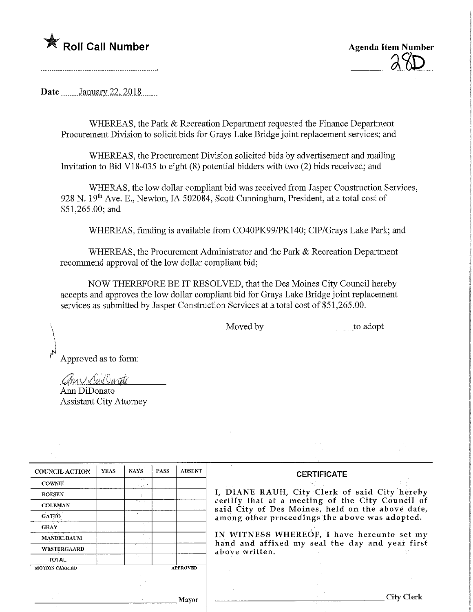

Roll Call Number Agenda Item Number ^

Date January 22, 2018

WHEREAS, the Park & Recreation Department requested the Finance Department Procurement Division to solicit bids for Grays Lake Bridge joint replacement services; and

WHEREAS, the Procurement Division solicited bids by advertisement and mailing Invitation to Bid V18-035 to eight  $(8)$  potential bidders with two  $(2)$  bids received; and

WHERAS, the low dollar compliant bid was received from Jasper Construction Services, 928 N. 19<sup>th</sup> Ave. E., Newton, IA 502084, Scott Cunningham, President, at a total cost of \$51,265.00; and

WHEREAS, funding is available from C040PK99/PK140; CIP/Grays Lake Park; and

WHEREAS, the Procurement Administrator and the Park & Recreation Department recommend approval of the low dollar compliant bid;

NOW THEREFORE BE IT RESOLVED, that the Des Moines City Council hereby accepts and approves the low dollar compliant bid for Grays Lake Bridge joint replacement services as submitted by Jasper Construction Services at a total cost of \$51,265.00.

Moved by to adopt

Approved as to form:

ann Dillarité

Ann DiDonato Assistant City Attorney

| <b>COUNCIL ACTION</b> | <b>YEAS</b> | <b>NAYS</b>    | <b>PASS</b> | <b>ABSENT</b>   | <b>CERTIFICATE</b>                                                                                                                                     |  |  |  |
|-----------------------|-------------|----------------|-------------|-----------------|--------------------------------------------------------------------------------------------------------------------------------------------------------|--|--|--|
| <b>COWNIE</b>         |             | $\sim$<br>31 C |             |                 |                                                                                                                                                        |  |  |  |
| <b>BOESEN</b>         |             | <b>A</b>       |             |                 | I, DIANE RAUH, City Clerk of said City hereby                                                                                                          |  |  |  |
| <b>COLEMAN</b>        |             | The go         |             |                 | certify that at a meeting of the City Council of<br>said City of Des Moines, held on the above date,<br>among other proceedings the above was adopted. |  |  |  |
| GATTO                 |             |                |             |                 |                                                                                                                                                        |  |  |  |
| <b>GRAY</b>           |             |                |             |                 |                                                                                                                                                        |  |  |  |
| <b>MANDELBAUM</b>     |             | 72.00          |             |                 | IN WITNESS WHEREOF, I have hereunto set my                                                                                                             |  |  |  |
| WESTERGAARD           |             |                |             |                 | hand and affixed my seal the day and year first<br>above written.                                                                                      |  |  |  |
| TOTAL                 |             |                |             |                 |                                                                                                                                                        |  |  |  |
| <b>MOTION CARRIED</b> |             |                |             | <b>APPROVED</b> |                                                                                                                                                        |  |  |  |
|                       |             |                |             |                 |                                                                                                                                                        |  |  |  |
|                       |             |                |             |                 |                                                                                                                                                        |  |  |  |
|                       |             |                |             |                 |                                                                                                                                                        |  |  |  |
|                       |             |                |             | Mavor           | City Clerk                                                                                                                                             |  |  |  |